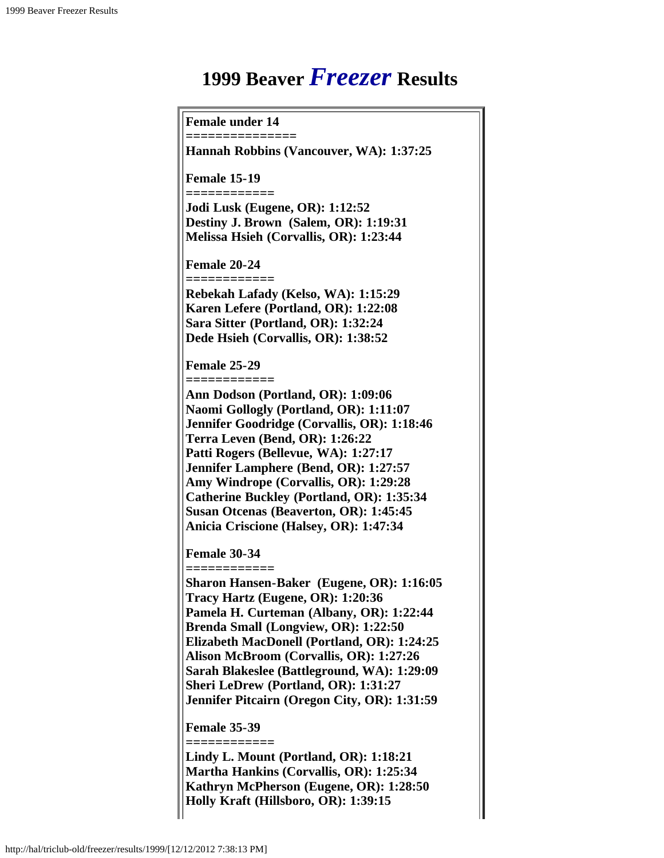# **1999 Beaver** *Freezer* **Results**

**Female under 14**

**===============**

**Hannah Robbins (Vancouver, WA): 1:37:25**

**Female 15-19**

**============ Jodi Lusk (Eugene, OR): 1:12:52 Destiny J. Brown (Salem, OR): 1:19:31 Melissa Hsieh (Corvallis, OR): 1:23:44**

**Female 20-24**

**============**

**Rebekah Lafady (Kelso, WA): 1:15:29 Karen Lefere (Portland, OR): 1:22:08 Sara Sitter (Portland, OR): 1:32:24 Dede Hsieh (Corvallis, OR): 1:38:52**

**Female 25-29**

**============**

**Ann Dodson (Portland, OR): 1:09:06 Naomi Gollogly (Portland, OR): 1:11:07 Jennifer Goodridge (Corvallis, OR): 1:18:46 Terra Leven (Bend, OR): 1:26:22 Patti Rogers (Bellevue, WA): 1:27:17 Jennifer Lamphere (Bend, OR): 1:27:57 Amy Windrope (Corvallis, OR): 1:29:28 Catherine Buckley (Portland, OR): 1:35:34 Susan Otcenas (Beaverton, OR): 1:45:45 Anicia Criscione (Halsey, OR): 1:47:34**

**Female 30-34 ============**

**Sharon Hansen-Baker (Eugene, OR): 1:16:05 Tracy Hartz (Eugene, OR): 1:20:36 Pamela H. Curteman (Albany, OR): 1:22:44 Brenda Small (Longview, OR): 1:22:50 Elizabeth MacDonell (Portland, OR): 1:24:25 Alison McBroom (Corvallis, OR): 1:27:26 Sarah Blakeslee (Battleground, WA): 1:29:09 Sheri LeDrew (Portland, OR): 1:31:27 Jennifer Pitcairn (Oregon City, OR): 1:31:59**

**Female 35-39 ============**

**Lindy L. Mount (Portland, OR): 1:18:21 Martha Hankins (Corvallis, OR): 1:25:34 Kathryn McPherson (Eugene, OR): 1:28:50 Holly Kraft (Hillsboro, OR): 1:39:15**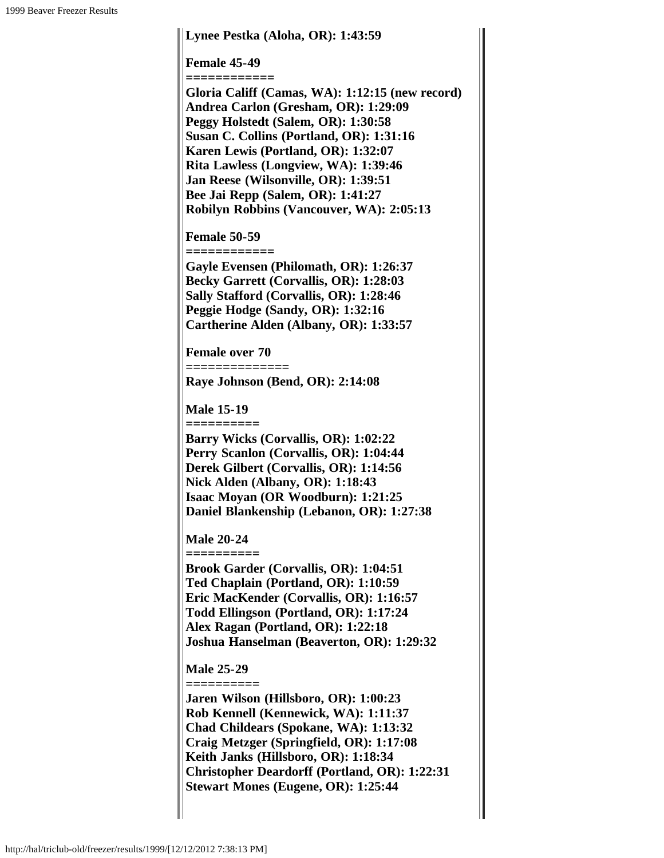## **Lynee Pestka (Aloha, OR): 1:43:59 Female 45-49 ============ Gloria Califf (Camas, WA): 1:12:15 (new record) Andrea Carlon (Gresham, OR): 1:29:09 Peggy Holstedt (Salem, OR): 1:30:58 Susan C. Collins (Portland, OR): 1:31:16 Karen Lewis (Portland, OR): 1:32:07 Rita Lawless (Longview, WA): 1:39:46 Jan Reese (Wilsonville, OR): 1:39:51 Bee Jai Repp (Salem, OR): 1:41:27 Robilyn Robbins (Vancouver, WA): 2:05:13 Female 50-59 ============ Gayle Evensen (Philomath, OR): 1:26:37 Becky Garrett (Corvallis, OR): 1:28:03 Sally Stafford (Corvallis, OR): 1:28:46 Peggie Hodge (Sandy, OR): 1:32:16 Cartherine Alden (Albany, OR): 1:33:57 Female over 70 ============== Raye Johnson (Bend, OR): 2:14:08 Male 15-19 ========== Barry Wicks (Corvallis, OR): 1:02:22 Perry Scanlon (Corvallis, OR): 1:04:44 Derek Gilbert (Corvallis, OR): 1:14:56 Nick Alden (Albany, OR): 1:18:43 Isaac Moyan (OR Woodburn): 1:21:25 Daniel Blankenship (Lebanon, OR): 1:27:38 Male 20-24 ========== Brook Garder (Corvallis, OR): 1:04:51 Ted Chaplain (Portland, OR): 1:10:59 Eric MacKender (Corvallis, OR): 1:16:57 Todd Ellingson (Portland, OR): 1:17:24 Alex Ragan (Portland, OR): 1:22:18 Joshua Hanselman (Beaverton, OR): 1:29:32 Male 25-29 ========== Jaren Wilson (Hillsboro, OR): 1:00:23 Rob Kennell (Kennewick, WA): 1:11:37 Chad Childears (Spokane, WA): 1:13:32 Craig Metzger (Springfield, OR): 1:17:08 Keith Janks (Hillsboro, OR): 1:18:34**

**Christopher Deardorff (Portland, OR): 1:22:31**

**Stewart Mones (Eugene, OR): 1:25:44**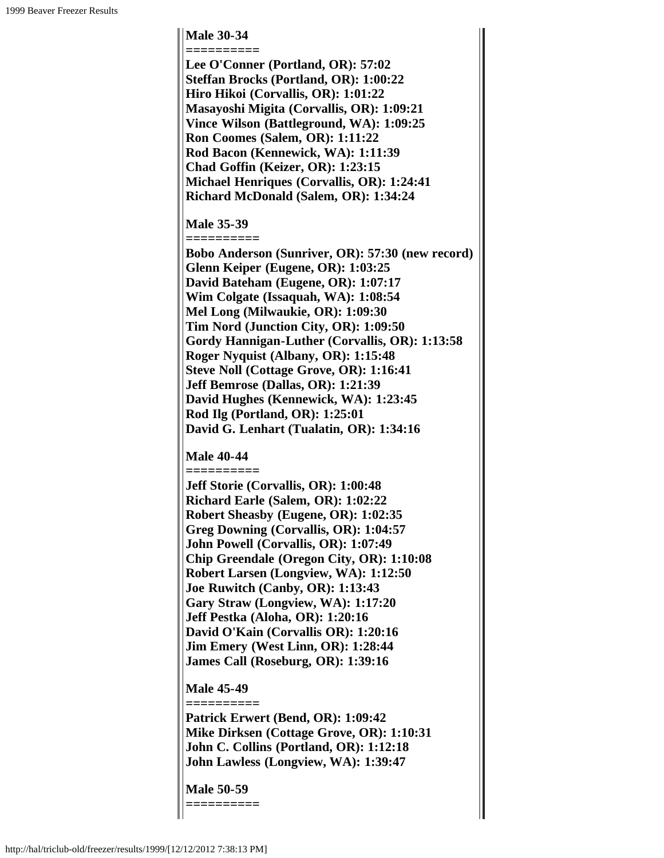### **Male 30-34**

**========== Lee O'Conner (Portland, OR): 57:02 Steffan Brocks (Portland, OR): 1:00:22 Hiro Hikoi (Corvallis, OR): 1:01:22 Masayoshi Migita (Corvallis, OR): 1:09:21 Vince Wilson (Battleground, WA): 1:09:25 Ron Coomes (Salem, OR): 1:11:22 Rod Bacon (Kennewick, WA): 1:11:39 Chad Goffin (Keizer, OR): 1:23:15 Michael Henriques (Corvallis, OR): 1:24:41 Richard McDonald (Salem, OR): 1:34:24**

#### **Male 35-39**

**========== Bobo Anderson (Sunriver, OR): 57:30 (new record) Glenn Keiper (Eugene, OR): 1:03:25 David Bateham (Eugene, OR): 1:07:17 Wim Colgate (Issaquah, WA): 1:08:54 Mel Long (Milwaukie, OR): 1:09:30 Tim Nord (Junction City, OR): 1:09:50 Gordy Hannigan-Luther (Corvallis, OR): 1:13:58 Roger Nyquist (Albany, OR): 1:15:48 Steve Noll (Cottage Grove, OR): 1:16:41 Jeff Bemrose (Dallas, OR): 1:21:39 David Hughes (Kennewick, WA): 1:23:45 Rod Ilg (Portland, OR): 1:25:01 David G. Lenhart (Tualatin, OR): 1:34:16**

#### **Male 40-44**

**==========**

**Jeff Storie (Corvallis, OR): 1:00:48 Richard Earle (Salem, OR): 1:02:22 Robert Sheasby (Eugene, OR): 1:02:35 Greg Downing (Corvallis, OR): 1:04:57 John Powell (Corvallis, OR): 1:07:49 Chip Greendale (Oregon City, OR): 1:10:08 Robert Larsen (Longview, WA): 1:12:50 Joe Ruwitch (Canby, OR): 1:13:43 Gary Straw (Longview, WA): 1:17:20 Jeff Pestka (Aloha, OR): 1:20:16 David O'Kain (Corvallis OR): 1:20:16 Jim Emery (West Linn, OR): 1:28:44 James Call (Roseburg, OR): 1:39:16**

#### **Male 45-49 ==========**

**Patrick Erwert (Bend, OR): 1:09:42 Mike Dirksen (Cottage Grove, OR): 1:10:31 John C. Collins (Portland, OR): 1:12:18 John Lawless (Longview, WA): 1:39:47**

**Male 50-59**

**==========**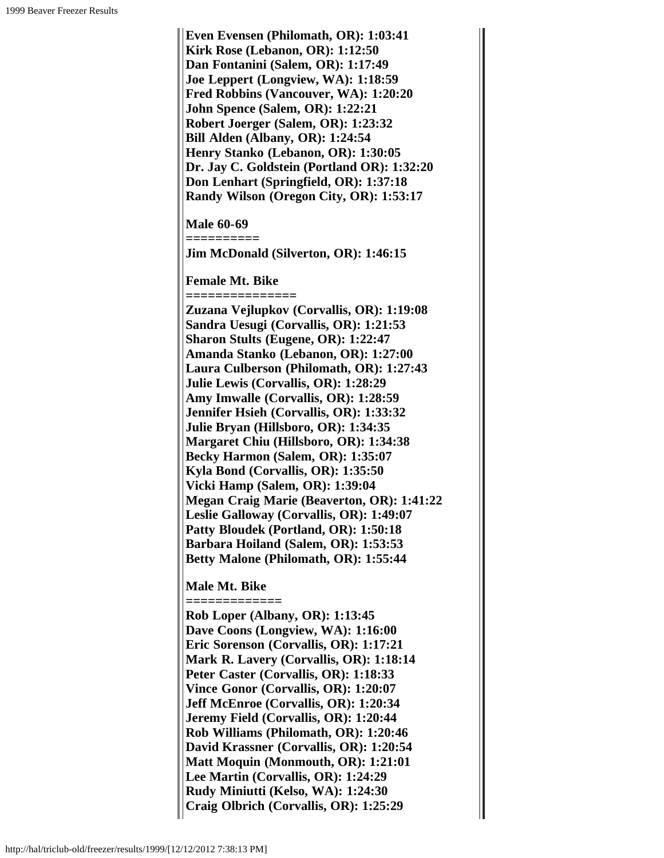**Even Evensen (Philomath, OR): 1:03:41 Kirk Rose (Lebanon, OR): 1:12:50 Dan Fontanini (Salem, OR): 1:17:49 Joe Leppert (Longview, WA): 1:18:59 Fred Robbins (Vancouver, WA): 1:20:20 John Spence (Salem, OR): 1:22:21 Robert Joerger (Salem, OR): 1:23:32 Bill Alden (Albany, OR): 1:24:54 Henry Stanko (Lebanon, OR): 1:30:05 Dr. Jay C. Goldstein (Portland OR): 1:32:20 Don Lenhart (Springfield, OR): 1:37:18 Randy Wilson (Oregon City, OR): 1:53:17 Male 60-69 ========== Jim McDonald (Silverton, OR): 1:46:15 Female Mt. Bike =============== Zuzana Vejlupkov (Corvallis, OR): 1:19:08 Sandra Uesugi (Corvallis, OR): 1:21:53 Sharon Stults (Eugene, OR): 1:22:47 Amanda Stanko (Lebanon, OR): 1:27:00 Laura Culberson (Philomath, OR): 1:27:43 Julie Lewis (Corvallis, OR): 1:28:29 Amy Imwalle (Corvallis, OR): 1:28:59 Jennifer Hsieh (Corvallis, OR): 1:33:32 Julie Bryan (Hillsboro, OR): 1:34:35 Margaret Chiu (Hillsboro, OR): 1:34:38 Becky Harmon (Salem, OR): 1:35:07 Kyla Bond (Corvallis, OR): 1:35:50 Vicki Hamp (Salem, OR): 1:39:04 Megan Craig Marie (Beaverton, OR): 1:41:22 Leslie Galloway (Corvallis, OR): 1:49:07 Patty Bloudek (Portland, OR): 1:50:18 Barbara Hoiland (Salem, OR): 1:53:53 Betty Malone (Philomath, OR): 1:55:44 Male Mt. Bike ============= Rob Loper (Albany, OR): 1:13:45 Dave Coons (Longview, WA): 1:16:00 Eric Sorenson (Corvallis, OR): 1:17:21 Mark R. Lavery (Corvallis, OR): 1:18:14**

**Peter Caster (Corvallis, OR): 1:18:33 Vince Gonor (Corvallis, OR): 1:20:07 Jeff McEnroe (Corvallis, OR): 1:20:34 Jeremy Field (Corvallis, OR): 1:20:44 Rob Williams (Philomath, OR): 1:20:46 David Krassner (Corvallis, OR): 1:20:54 Matt Moquin (Monmouth, OR): 1:21:01 Lee Martin (Corvallis, OR): 1:24:29 Rudy Miniutti (Kelso, WA): 1:24:30 Craig Olbrich (Corvallis, OR): 1:25:29**